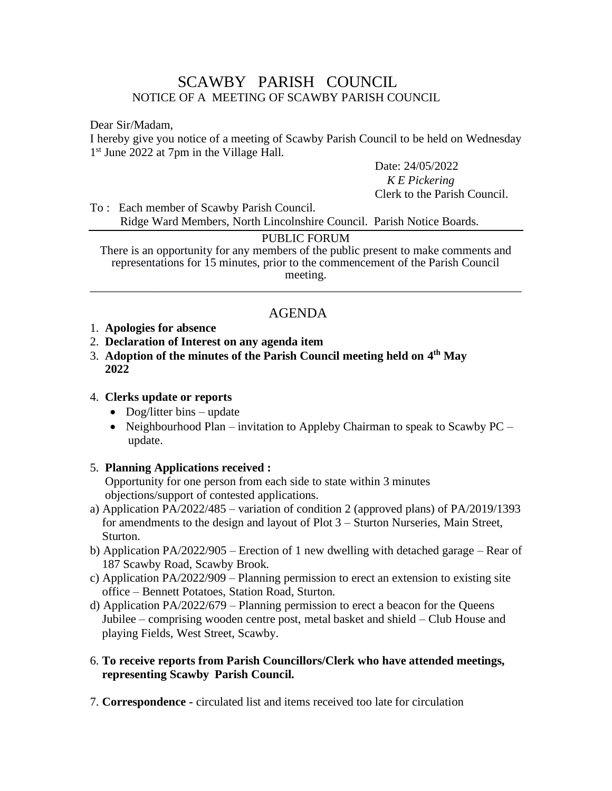# SCAWBY PARISH COUNCIL NOTICE OF A MEETING OF SCAWBY PARISH COUNCIL

Dear Sir/Madam,

I hereby give you notice of a meeting of Scawby Parish Council to be held on Wednesday 1<sup>st</sup> June 2022 at 7pm in the Village Hall.

Date: 24/05/2022

 *K E Pickering* Clerk to the Parish Council.

To : Each member of Scawby Parish Council. Ridge Ward Members, North Lincolnshire Council. Parish Notice Boards.

#### PUBLIC FORUM

There is an opportunity for any members of the public present to make comments and representations for 15 minutes, prior to the commencement of the Parish Council meeting. \_\_\_\_\_\_\_\_\_\_\_\_\_\_\_\_\_\_\_\_\_\_\_\_\_\_\_\_\_\_\_\_\_\_\_\_\_\_\_\_\_\_\_\_\_\_\_\_\_\_\_\_\_\_\_\_\_\_\_\_\_\_\_\_\_\_\_\_\_\_\_\_

# AGENDA

- 1. **Apologies for absence**
- 2. **Declaration of Interest on any agenda item**
- 3. **Adoption of the minutes of the Parish Council meeting held on 4 th May 2022**

#### 4. **Clerks update or reports**

- Dog/litter bins update
- Neighbourhood Plan invitation to Appleby Chairman to speak to Scawby PC update.

# 5. **Planning Applications received :**

Opportunity for one person from each side to state within 3 minutes objections/support of contested applications.

- a) Application PA/2022/485 variation of condition 2 (approved plans) of PA/2019/1393 for amendments to the design and layout of Plot 3 – Sturton Nurseries, Main Street, Sturton.
- b) Application PA/2022/905 Erection of 1 new dwelling with detached garage Rear of 187 Scawby Road, Scawby Brook.
- c) Application PA/2022/909 Planning permission to erect an extension to existing site office – Bennett Potatoes, Station Road, Sturton.
- d) Application PA/2022/679 Planning permission to erect a beacon for the Queens Jubilee – comprising wooden centre post, metal basket and shield – Club House and playing Fields, West Street, Scawby.
- 6. **To receive reports from Parish Councillors/Clerk who have attended meetings, representing Scawby Parish Council.**
- 7. **Correspondence -** circulated list and items received too late for circulation